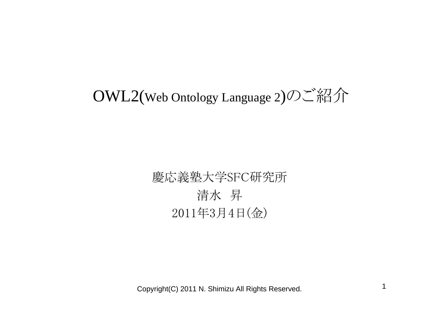# OWL2(Web Ontology Language 2)のご紹介

# 慶応義塾大学SFC研究所 清水 昇 2011年3月4日(金)

Copyright(C) 2011 N. Shimizu All Rights Reserved. <sup>1</sup>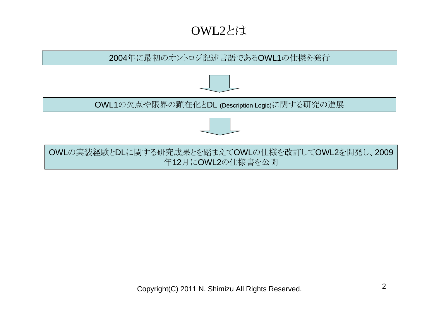## OWL2とは

### 2004年に最初のオントロジ記述言語であるOWL1の仕様を発行



OWL1の欠点や限界の顕在化とDL (Description Logic)に関する研究の進展



OWLの実装経験とDLに関する研究成果とを踏まえてOWLの仕様を改訂してOWL2を開発し、2009 年12月にOWL2の仕様書を公開

Copyright(C) 2011 N. Shimizu All Rights Reserved. <sup>2</sup>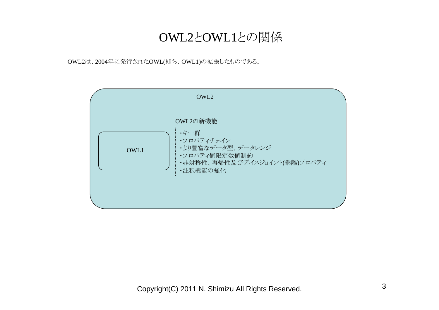## OWL2とOWL1との関係

OWL2は、2004年に発行されたOWL(即ち、OWL1)の拡張したものである。

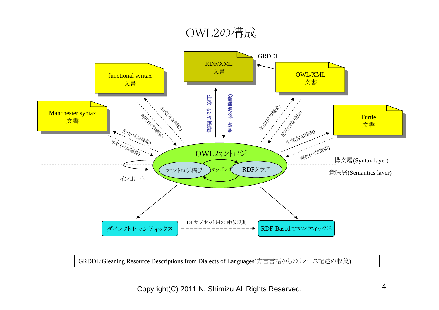## OWL2の構成



GRDDL:Gleaning Resource Descriptions from Dialects of Languages(方言言語からのリソース記述の収集)

Copyright(C) 2011 N. Shimizu All Rights Reserved. <sup>4</sup>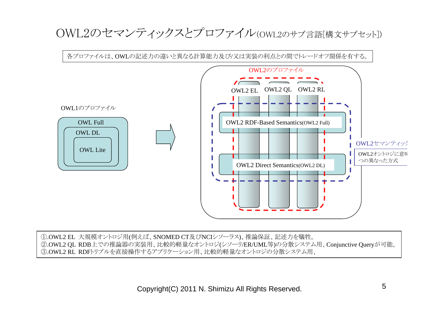## OWL2のセマンティックスとプロファイル(OWL2のサブ言語[構文サブセット])

各プロファイルは、OWLの記述力の違いと異なる計算能力及び/又は実装の利点との間でトレードオフ関係を有する。



①.OWL2 EL 大規模オントロジ用(例えば、SNOMED CT及びNCIシソーラス)、推論保証、記述力を犠牲。 ②.OWL2 QL RDB上での推論器の実装用、比較的軽量なオントロジ(シソーリ/ER/UML等)の分散システム用、Conjunctive Queryが可能。 ③.OWL2 RL RDFトリプルを直接操作するアプリケーション用、比較的軽量なオントロジの分散システム用、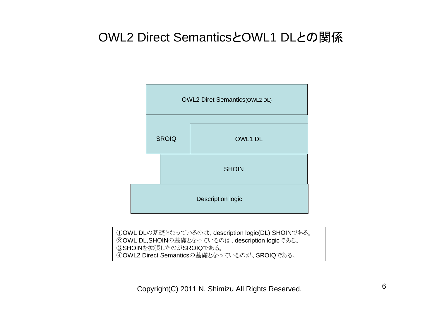## OWL2 Direct SemanticsとOWL1 DLとの関係



OWL DLの基礎となっているのは、description logic(DL) SHOINである。 OWL DL,SHOINの基礎となっているのは、description logicである。 SHOINを拡張したのがSROIQである。 OWL2 Direct Semanticsの基礎となっているのが、SROIQである。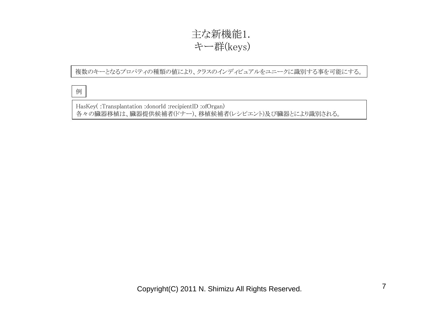### 主な新機能1. キー群(keys)

複数のキーとなるプロパティの種類の値により、クラスのインディビュアルをユニークに識別する事を可能にする。

例

HasKey(:Transplantation:donorId:recipientID:ofOrgan) 各々の臓器移植は、臓器提供候補者(ドナー)、移植候補者(レシピエント)及び臓器とにより識別される。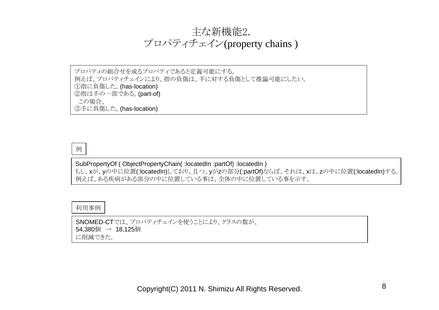

プロパティの組合せを或るプロパティであると定義可能にする。 例えば、プロパティチェインにより、指の負傷は、手に対する負傷として推論可能にしたい。 ①指に負傷した。(has-location) ②指は手の一部である。(part-of) この場合、 ③手に負傷した。(has-location)

例

SubPropertyOf ( ObjectPropertyChain( :locatedIn :partOf) :locatedIn ) もし、xが、yの中に位置(:locatedIn)しており、且つ、yがzの部分(:partOf)ならば、それは、xは、zの中に位置(:locatedIn)する。 例えば、ある疾病がある部分の中に位置している事は、全体の中に位置している事を示す。

利用事例

SNOMED-CTでは、プロパティチェインを使うことにより、クラスの数が、 54,380個 <sup>→</sup> 18,125個 に削減できた。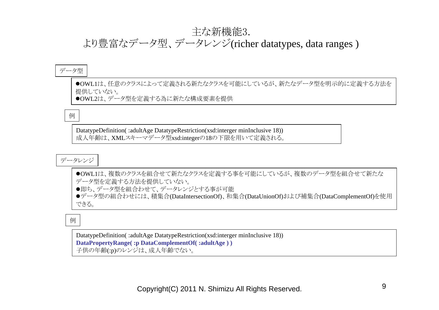### 主な新機能3.

### より豊富なデータ型、データレンジ(richer datatypes, data ranges )

#### データ型

●OWL1は、任意のクラスによって定義される新たなクラスを可能にしているが、新たなデータ型を明示的に定義する方法を 提供していない。 ●OWL2は、データ型を定義する為に新たな構成要素を提供

例

DatatypeDefinition( :adultAge DatatypeRestriction(xsd:interger minInclusive 18)) 成人年齢は、XMLスキーマデータ型xsd:integerの18の下限を用いて定義される。

#### データレンジ

●OWL1は、複数のクラスを組合せて新たなクラスを定義する事を可能にしているが、複数のデータ型を組合せて新たな データ型を定義する方法を提供していない。

●即ち、データ型を組合わせて、データレンジとする事が可能

●データ型の組合わせには、積集合(DataIntersectionOf)、和集合(DataUnionOf)および補集合(DataComplementOf)を使用 できる。

#### 例

DatatypeDefinition(:adultAge DatatypeRestriction(xsd:interger minInclusive 18)) **DataPropertyRange( :p DataComplementOf( :adultAge ) )** 子供の年齢(:p)のレンジは、成人年齢でない。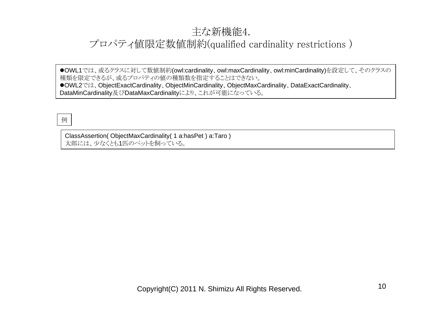### 主な新機能4.

### プロパティ値限定数値制約(qualified cardinality restrictions )

●OWL1では、或るクラスに対して数値制約(owl:cardinality、owl:maxCardinality、owl:minCardinality)を設定して、そのクラスの 種類を限定できるが、或るプロパティの値の種類数を指定することはできない。 ●OWL2では、ObjectExactCardinality、ObjectMinCardinality、ObjectMaxCardinality、DataExactCardinality、 DataMinCardinality及びDataMaxCardinalityにより、これが可能になっている。

例

ClassAssertion( ObjectMaxCardinality( 1 a:hasPet ) a:Taro ) 太郎には、少なくとも1匹のペットを飼っている。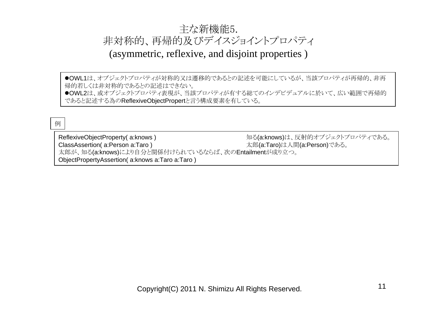### 主な新機能5. 非対称的、再帰的及びデイスジョイントプロパティ (asymmetric, reflexive, and disjoint properties )

●OWL1は、オブジェクトプロパティが対称的又は遷移的であるとの記述を可能にしているが、当該プロパティが再帰的、非再 帰的若しくは非対称的であるとの記述はできない。 ●OWL2は、或オブジェクトプロパティ表現が、当該プロパティが有する総てのインデビデュアルに於いて、広い範囲で再帰的 であると記述する為のReflexiveObjectPropertと言う構成要素を有している。

例

ReflexiveObjectProperty(a:knows) または、こちらのアクリティングのようなのは、反射的オブジェクトプロパティである。 ClassAssertion( a:Person a:Taro ) わからのある。<br>本郎(a:Taro)は人間(a:Person)である。 太郎が、知る(a:knows)により自分と関係付けられているならば、次のEntailmentが成り立つ。 ObjectPropertyAssertion( a:knows a:Taro a:Taro )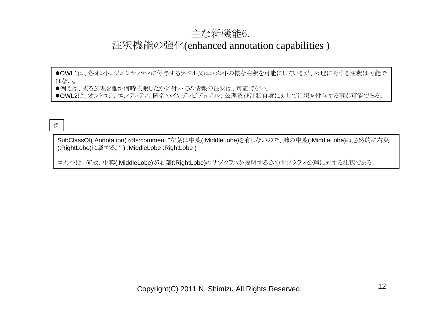### 主な新機能6.

### 注釈機能の強化(enhanced annotation capabilities )

●OWL1は、各オントロジエンティティに付与するラベル又はコメントの様な注釈を可能にしているが、公理に対する注釈は可能で はない。

●例えば、或る公理を誰が何時主張したかに付いての情報の注釈は、可能でない。

●OWL2は、オントロジ、エンティティ、匿名のインディビデュアル、公理及び注釈自身に対して注釈を付与する事が可能である。

#### 例

SubClassOf( Annotation( rdfs:comment "左葉は中葉(:MiddleLobe)を有しないので、肺の中葉(:MiddleLobe)は必然的に右葉 (:RightLobe)に属する。" ) :MiddleLobe :RightLobe )

コメントは、何故、中葉(:MiddleLobe)が右葉(:RightLobe)のサブクラスか説明する為のサブクラス公理に対する注釈である。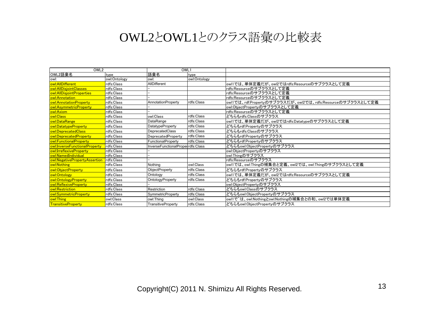## OWL2とOWL1とのクラス語彙の比較表

| OWL <sub>2</sub>              |              | OWL1                               |              |                                                             |
|-------------------------------|--------------|------------------------------------|--------------|-------------------------------------------------------------|
| OWL2語彙名                       | type         | 語彙名                                | type         |                                                             |
| lowl:                         | owl:Ontology | owl:                               | owl:Ontology |                                                             |
| owl:AllDifferent              | rdfs:Class   | AllDifferent                       |              | owl1では、単体定義だが、owl2ではrdfs:Resourceのサブクラスとして定義                |
| owl:AllDisjointClasses        | rdfs:Class   |                                    |              | rdfs:Resourceのサブクラスとして定義                                    |
| owl:AllDisjointProperties     | rdfs:Class   |                                    |              | rdfs:Resourceのサブクラスとして定義                                    |
| owl: Annotation               | rdfs:Class   |                                    |              | rdfs:Resourceのサブクラスとして定義                                    |
| owl:AnnotationProperty        | rdfs:Class   | AnnotationProperty                 | rdfs:Class   | owl1では、rdf:Propertyのサブクラスだが、owl2では、rdfs:Resourceのサブクラスとして定義 |
| owl:AsymmetricProperty        | rdfs:Class   |                                    |              | owl:ObjectPropertyのサブクラスとして定義                               |
| owl:Axiom                     | rdfs:Class   |                                    |              | rdfs:Resourceのサブクラスとして定義                                    |
| owl:Class                     | rdfs:Class   | owl:Class                          | rdfs:Class   | どちらもrdfs:Classのサブクラス                                        |
| owl:DataRange                 | rdfs:Class   | DataRange                          | rdfs:Class   | owl1では、単体定義だが、owl2ではrdfs:Datatypeのサブクラスとして定義                |
| owl:DatatypeProperty          | rdfs:Class   | <b>DatatypeProperty</b>            | rdfs:Class   | どちらもrdf:Propertyのサブクラス                                      |
| owl:DeprecatedClass           | rdfs:Class   | DeprecatedClass                    | rdfs:Class   | どちらもrdfs:Classのサブクラス                                        |
| owl:DeprecatedProperty        | rdfs:Class   | DeprecatedProperty                 | rdfs:Class   | どちらもrdf:Propertyのサブクラス                                      |
| owl:FunctionalProperty        | rdfs:Class   | FunctionalProperty                 | rdfs:Class   | どちらもrdf:Propertyのサブクラス                                      |
| owl:InverseFunctionalProperty | rdfs:Class   | InverseFunctionalProper rdfs:Class |              | どちらもowl:ObjectPropertyのサブクラス                                |
| owl:IrreflexiveProperty       | rdfs:Class   |                                    |              | owl:ObjectPropertyのサブクラス                                    |
| <b>owl:NamedIndividual</b>    | rdfs:Class   |                                    |              | owl:Thingのサブクラス                                             |
| owl:NegativePropertyAssertion | rdfs:Class   |                                    |              | rdfs:Resourceのサブクラス                                         |
| owl:Nothing                   | rdfs:Class   | Nothing                            | owl:Class    | owl1では、owl:Thingの補集合と定義、owl2では、owl:Thingのサブクラスとして定義         |
| owl:ObjectProperty            | rdfs:Class   | <b>ObjectProperty</b>              | rdfs:Class   | どちらもrdf:Propertyのサブクラス                                      |
| owl:Ontology                  | rdfs:Class   | Ontology                           | rdfs:Class   | owl1では、単体定義だが、owl2ではrdfs:Resourceのサブクラスとして定義                |
| owl:OntologyProperty          | rdfs:Class   | OntologyProperty                   | rdfs:Class   | どちらもrdf:Propertyのサブクラス                                      |
| owl:ReflexiveProperty         | rdfs:Class   |                                    |              | owl:ObiectPropertvのサブクラス                                    |
| <b>owl:Restriction</b>        | rdfs:Class   | Restriction                        | rdfs:Class   | どちらもowl:Classのサブクラス                                         |
| owl:SymmetricProperty         | rdfs:Class   | SymmetricProperty                  | rdfs:Class   | どちらもowl:ObjectPropertyのサブクラス                                |
| owl:Thing                     | owl:Class    | owl:Thing                          | owl:Class    | owl1で゛は、owl:Nothingとowl:Nothingの補集合との和、owl2では単体定義           |
| <b>TransitiveProperty</b>     | rdfs:Class   | <b>TransitiveProperty</b>          | rdfs:Class   | どちらもowl:ObjectPropertyのサブクラス                                |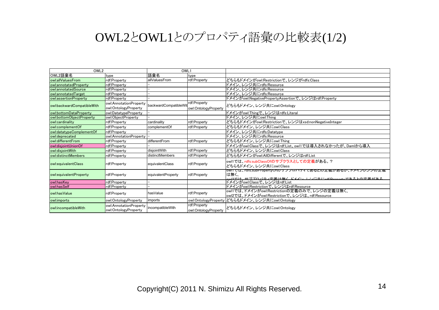## OWL2とOWL1とのプロパティ語彙の比較表(1/2)

| OWL <sub>2</sub>           |                                                                  | OWL1                  |                                      |                                                                                                                          |
|----------------------------|------------------------------------------------------------------|-----------------------|--------------------------------------|--------------------------------------------------------------------------------------------------------------------------|
| OWL2語彙名                    | type                                                             | 語彙名                   | type                                 |                                                                                                                          |
| owl:allValuesFrom          | rdf:Property                                                     | lallValuesFrom        | rdf:Property                         | どちらもドメインがowl:Restrictionで、レンジがrdfs:Class                                                                                 |
| owl:annotatedProperty      | rdf:Propertv                                                     |                       |                                      | ドメイン、レンジ共にrdfs:Resource                                                                                                  |
| owl:annotatedSource        | rdf:Propertv                                                     |                       |                                      | ドメイン、レンジ共にrdfs:Resource                                                                                                  |
| owl:annotatedTarget        | rdf:Property                                                     |                       |                                      | ドメイン、レンジ共にrdfs:Resource                                                                                                  |
| owl:assertionProperty      | rdf:Propertv                                                     |                       |                                      | ドメインがowl:NegativePropertyAssertionで、レンジはrdf:Property                                                                     |
| owl:backwardCompatibleWith | owl:AnnotationProperty                                           | backwardCompatibleWit | rdf:Property                         | どちらもドメイン、レンジ共にowl:Ontology                                                                                               |
|                            | owl:OntologyProperty                                             |                       | owl:OntologyProperty                 |                                                                                                                          |
| owl:bottomDataProperty     | owl:DatatypeProperty                                             |                       |                                      | ドメインがowl:Thingで、レンジはrdfs:Literal                                                                                         |
| owl:bottomObjectProperty   | owl:ObjectProperty                                               |                       |                                      | ドメイン、レンジ共にowl:Thing                                                                                                      |
| owl:cardinality            | rdf:Property                                                     | cardinality           | rdf:Property                         | どちらもドメインがowl:Restrictionで、レンジはxsd:nonNegativeInteger                                                                     |
| owl:complementOf           | rdf:Propertv                                                     | complementOf          | rdf:Property                         | どちらもドメイン、レンジ共にowl:Class                                                                                                  |
| owl:datatypeComplementOf   | rdf:Property                                                     |                       |                                      | ドメイン、レンジ共にrdfs:Datatype                                                                                                  |
| owl:deprecated             | owl:AnnotationProperty -                                         |                       |                                      | ドメイン、レンジ共にrdfs:Resource                                                                                                  |
| owl:differentFrom          | rdf:Property                                                     | differentFrom         | rdf:Property                         | どちらもドメイン、レンジ共にowl:Thing                                                                                                  |
| owl:disjointUnionOf        | rdf:Propertv                                                     |                       |                                      | ドメインがow!:Classで、レンジはrdf:List、owl1では導入されなかったが、Damlから導入                                                                    |
| owl:disjointWith           | rdf:Propertv                                                     | disjointWith          | rdf:Property                         | どちらもドメイン、レンジ共にowl:Class                                                                                                  |
| owl:distinctMembers        | rdf:Property                                                     | distinctMembers       | rdf:Property                         | どちらもドメインがowl:AllDifferentで、レンジはrdf:List                                                                                  |
| owl:equivalentClass        | rdf:Propertv                                                     | equivalentClass       | rdf:Property                         | owl1では、rdfs:subClassOfのサブクラスとしての定義がある。?<br> どちらもドメイン、レンジ共にowl:Class                                                      |
| owl:equivalentProperty     | rdf:Property                                                     | equivalentProperty    | rdf:Property                         | owll では、rdfs;subPropertyOfのサノフロハティであるとの走義かあるか、トメイプレプンの走義<br>は無く、                                                         |
| owl:hasKey                 | rdf:Property                                                     |                       |                                      | <sub>ow</sub> i9でi+_ <del>++ゴ</del> プロパ <u>ティ定義は無く ドメイン しとぶまにrefeDeonortyであるとの定義がある</u><br> ドメインがowl:Classで、レンジはrdf:List |
| owl:hasSelf                | rdf:Property                                                     |                       |                                      | ドメインがowl:Restrictionで、レンジはrdf:Resource                                                                                   |
| owl:hasValue               | rdf:Property                                                     | hasValue              | rdf:Property                         | owl1では、ドメインがowl:Restrictionの定義のみで、レンジの定義は無く、<br> owl2では、ドメインがowl:Restrictionで、レンジは、rdf:Resource                          |
| owl:imports                | owl:OntologyProperty                                             | imports               | owl:OntologyProperty                 | どちらもドメイン、レンジ共にowl:Ontology                                                                                               |
| owl:incompatibleWith       | owl:AnnotationProperty  incompatibleWith<br>owl:OntologyProperty |                       | rdf:Property<br>owl:OntologyProperty | どちらもドメイン、レンジ共にowl:Ontology                                                                                               |